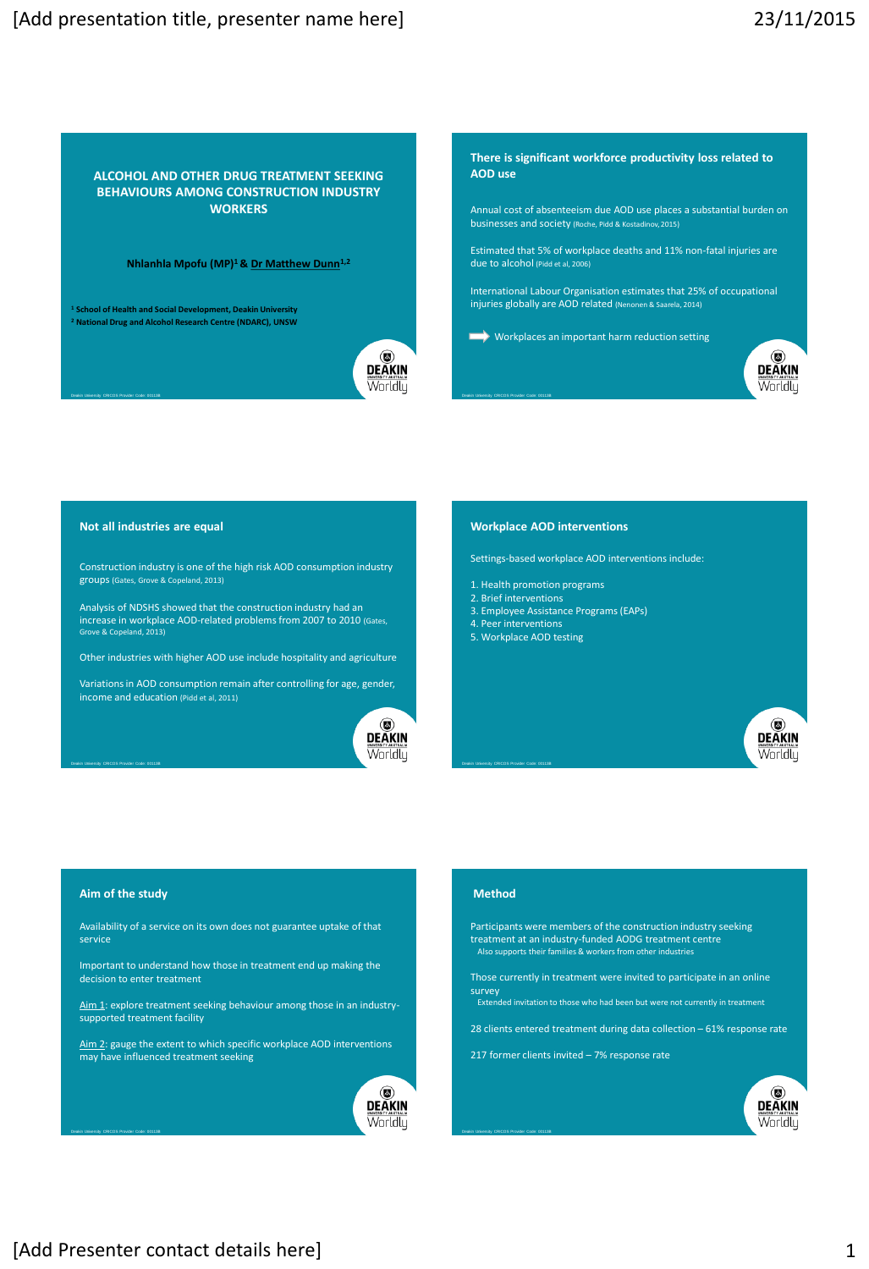**ALCOHOL AND OTHER DRUG TREATMENT SEEKING BEHAVIOURS AMONG CONSTRUCTION INDUSTRY WORKERS**

**Nhlanhla Mpofu (MP)<sup>1</sup>& Dr Matthew Dunn1,2**

**<sup>1</sup> School of Health and Social Development, Deakin University <sup>2</sup> National Drug and Alcohol Research Centre (NDARC), UNSW**



**There is significant workforce productivity loss related to AOD use**

Annual cost of absenteeism due AOD use places a substantial burden on<br>businesses and society (Roche, Pidd & Kostadinov, 2015) businesses and society (Roche, Pidd & Kostadino

Estimated that 5% of workplace deaths and 11% non-fatal injuries are due to alcohol (Pidd et al, 2006)

International Labour Organisation estimates that 25% of occupational injuries globally are AOD related (Nenonen & Saarela, 2014)

Workplaces an important harm reduction setting



#### **Not all industries are equal**

Construction industry is one of the high risk AOD consumption industry groups (Gates, Grove & Copeland, 2013)

Analysis of NDSHS showed that the construction industry had an increase in workplace AOD-related problems from 2007 to 2010 (Gates, Grove & Copeland, 2013)

Other industries with higher AOD use include hospitality and agriculture

Variations in AOD consumption remain after controlling for age, gender, income and education (Pidd et al, 2011)



#### **Workplace AOD interventions**

Settings-based workplace AOD interventions include:

- 1. Health promotion programs
- 2. Brief interventions
- 3. Employee Assistance Programs (EAPs)
- 4. Peer interventions
- 5. Workplace AOD testing



#### **Aim of the study**

Deakin University CRICOS Provider Code: 00113B

Deakin University CRICOS Provider Code: 00113B

Availability of a service on its own does not guarantee uptake of that service

Important to understand how those in treatment end up making the decision to enter treatment

Aim 1: explore treatment seeking behaviour among those in an industrysupported treatment facility

Aim 2: gauge the extent to which specific workplace AOD interventions may have influenced treatment seeking



# **Method**

Deakin University CRICOS Provider Code: 00113B

Deakin University CRICOS Provider Code: 00113B

Participants were members of the construction industry seeking treatment at an industry-funded AODG treatment centre Also supports their families & workers from other industries

Those currently in treatment were invited to participate in an online survey Extended invitation to those who had been but were not currently in treatment

- 28 clients entered treatment during data collection 61% response rate
- 217 former clients invited 7% response rate

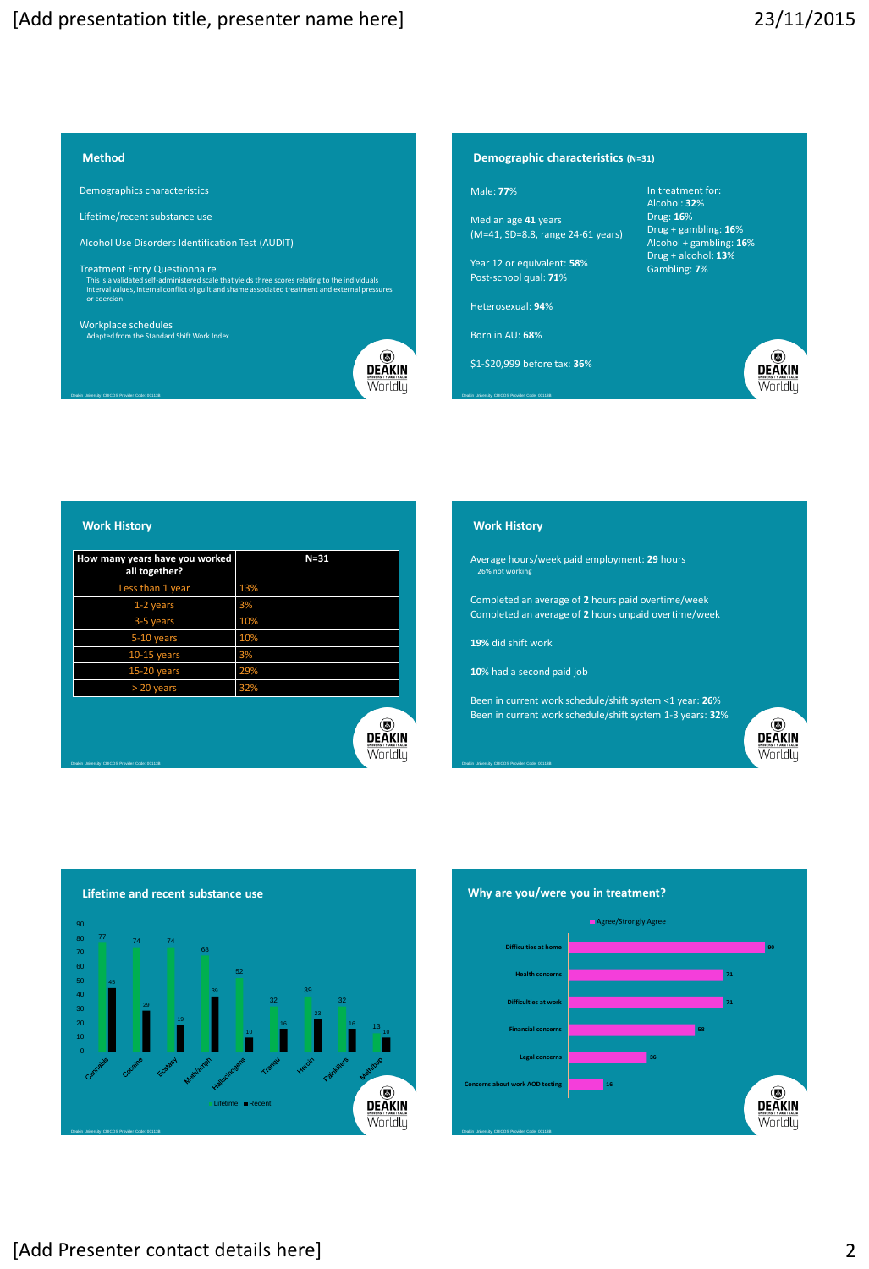# **Method**

Demographics characteristics

Lifetime/recent substance use

Alcohol Use Disorders Identification Test (AUDIT)

Treatment Entry Questionnaire This is a validated self-administered scale that yields three scores relating to the individuals interval values, internal conflict of guilt and shame associated treatment and external pressures or coercion

Workplace schedules Adapted from the Standard Shift Work Index



Worldly

# **Demographic characteristics (N=31)**

#### Male: **77**%

Median age **41** years (M=41, SD=8.8, range 24-61 years)

Year 12 or equivalent: **58**% Post-school qual: **71**%

Heterosexual: **94**%

Born in AU: **68**%

\$1-\$20,999 before tax: **36**%

In treatment for: Alcohol: **32**% Drug: **16**% Drug + gambling: **16**% Alcohol + gambling: **16**% Drug + alcohol: **13**% Gambling: **7**%



# **Work History**

Deakin University CRICOS Provider Code: 00113B

Deakin University CRICOS Provider Code: 00113B

| How many years have you worked<br>all together? | $N = 31$ |
|-------------------------------------------------|----------|
| Less than 1 year                                | 13%      |
| 1-2 years                                       | 3%       |
| 3-5 years                                       | 10%      |
| 5-10 years                                      | 10%      |
| $10-15$ years                                   | 3%       |
| 15-20 years                                     | 29%      |
| > 20 years                                      | 32%      |
|                                                 | Worldlu  |

# **Work History**

Average hours/week paid employment: **29** hours 26% not working

Completed an average of **2** hours paid overtime/week Completed an average of **2** hours unpaid overtime/week

**19%** did shift work

Deakin University CRICOS Provider Code: 00113B

**10**% had a second paid job

Been in current work schedule/shift system <1 year: **26**% Been in current work schedule/shift system 1-3 years: **32**%



**Lifetime and recent substance use**  90 80 <sup>77</sup> <sup>74</sup> <sup>74</sup> 70 68 60 52 50 45 40 30 29 19 16 16 **DEAKIN** Lifetime Recent

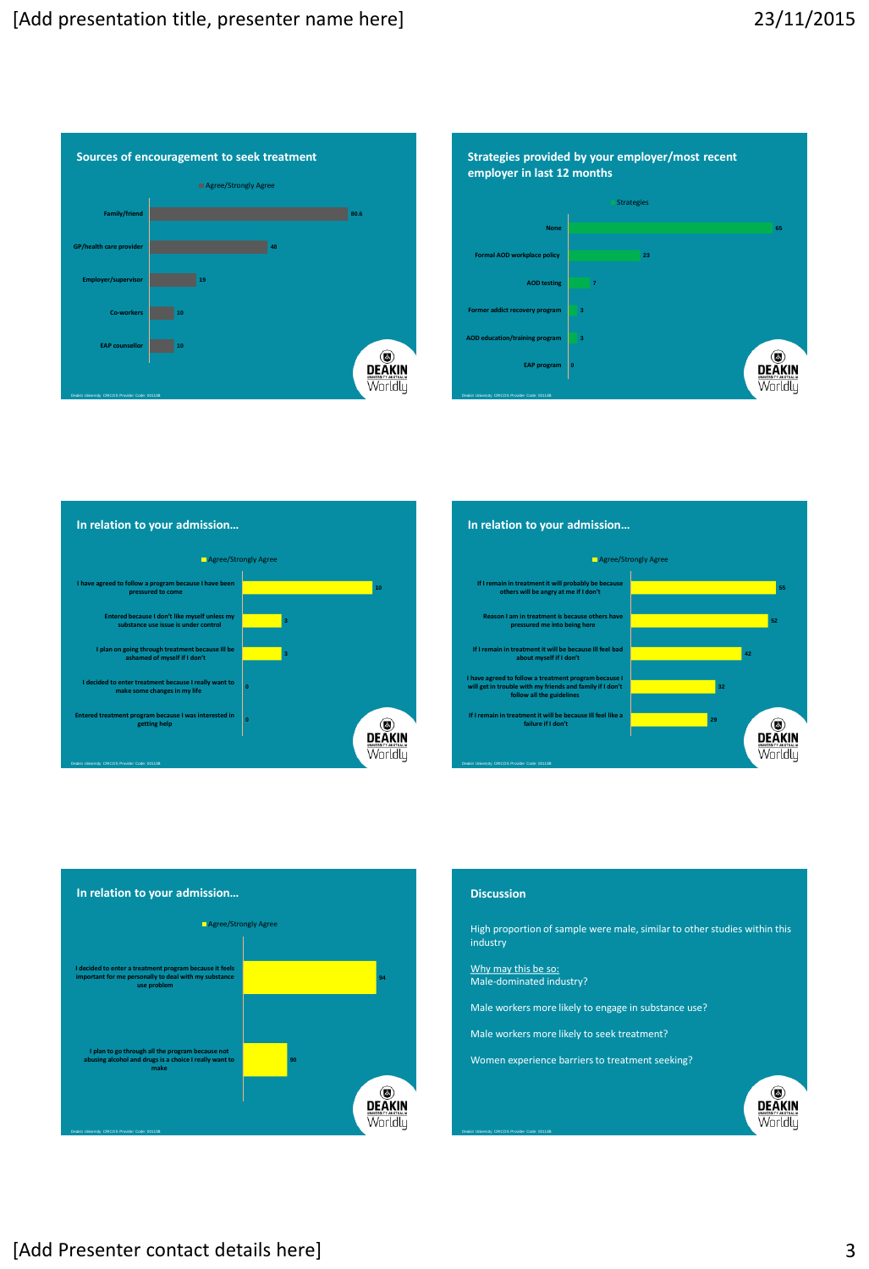









# **Discussion**

High proportion of sample were male, similar to other studies within this industry

Why may this be so: Male-dominated industry?

Deakin University CRICOS Provider Code: 00113B

Male workers more likely to engage in substance use?

Male workers more likely to seek treatment?

Women experience barriers to treatment seeking?